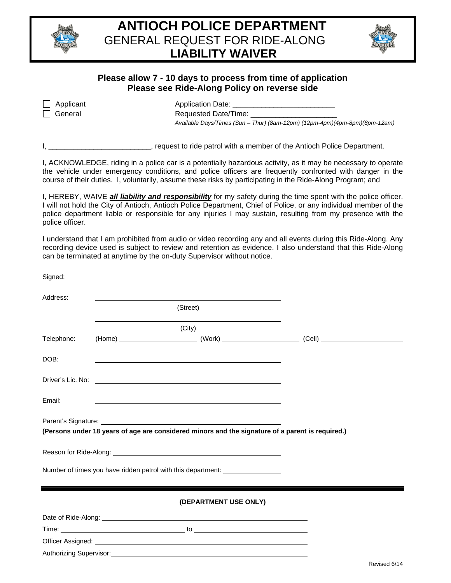



## **Please allow 7 - 10 days to process from time of application Please see Ride-Along Policy on reverse side**

| $\Box$ Applican |
|-----------------|
| General         |

at the contract Application Date:

Requested Date/Time: *Available Days/Times (Sun – Thur) (8am-12pm) (12pm-4pm)(4pm-8pm)(8pm-12am)* 

I, \_\_\_\_\_\_\_\_\_\_\_\_\_\_\_\_\_\_\_\_\_\_\_\_\_\_, request to ride patrol with a member of the Antioch Police Department.

I, ACKNOWLEDGE, riding in a police car is a potentially hazardous activity, as it may be necessary to operate the vehicle under emergency conditions, and police officers are frequently confronted with danger in the course of their duties. I, voluntarily, assume these risks by participating in the Ride-Along Program; and

I, HEREBY, WAIVE *all liability and responsibility* for my safety during the time spent with the police officer. I will not hold the City of Antioch, Antioch Police Department, Chief of Police, or any individual member of the police department liable or responsible for any injuries I may sustain, resulting from my presence with the police officer.

I understand that I am prohibited from audio or video recording any and all events during this Ride-Along. Any recording device used is subject to review and retention as evidence. I also understand that this Ride-Along can be terminated at anytime by the on-duty Supervisor without notice.

| Signed:    |                                                                                                                                                                                                                          |                       |              |
|------------|--------------------------------------------------------------------------------------------------------------------------------------------------------------------------------------------------------------------------|-----------------------|--------------|
| Address:   |                                                                                                                                                                                                                          |                       |              |
|            | (Street)                                                                                                                                                                                                                 |                       |              |
|            | (City)                                                                                                                                                                                                                   |                       |              |
| Telephone: |                                                                                                                                                                                                                          |                       |              |
| DOB:       |                                                                                                                                                                                                                          |                       |              |
|            |                                                                                                                                                                                                                          |                       |              |
| Email:     |                                                                                                                                                                                                                          |                       |              |
|            | Parent's Signature: <b>All any of the Contract State of the Contract State Contract State of the Contract Orient</b><br>(Persons under 18 years of age are considered minors and the signature of a parent is required.) |                       |              |
|            |                                                                                                                                                                                                                          |                       |              |
|            | Number of times you have ridden patrol with this department: ___________________                                                                                                                                         |                       |              |
|            |                                                                                                                                                                                                                          | (DEPARTMENT USE ONLY) |              |
|            |                                                                                                                                                                                                                          |                       |              |
|            |                                                                                                                                                                                                                          |                       |              |
|            | Authorizing Supervisor: 1997 - 2008 - 2010 - 2010 - 2010 - 2010 - 2010 - 2010 - 2010 - 2010 - 2010 - 2010 - 20                                                                                                           |                       |              |
|            |                                                                                                                                                                                                                          |                       | Revised 6/14 |